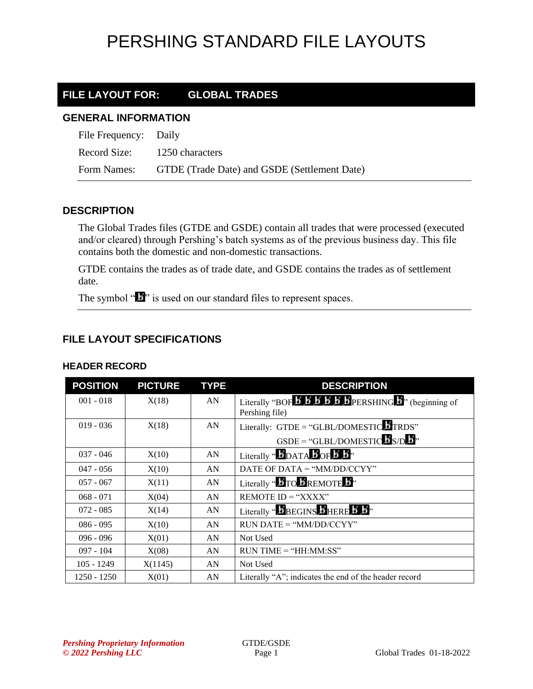#### **FILE LAYOUT FOR: GLOBAL TRADES**

#### **GENERAL INFORMATION**

| File Frequency: Daily        |                                                          |
|------------------------------|----------------------------------------------------------|
| Record Size: 1250 characters |                                                          |
|                              | Form Names: GTDE (Trade Date) and GSDE (Settlement Date) |

#### **DESCRIPTION**

The Global Trades files (GTDE and GSDE) contain all trades that were processed (executed and/or cleared) through Pershing's batch systems as of the previous business day. This file contains both the domestic and non-domestic transactions.

GTDE contains the trades as of trade date, and GSDE contains the trades as of settlement date.

The symbol " $\mathbf{b}$ " is used on our standard files to represent spaces.

#### **FILE LAYOUT SPECIFICATIONS**

| <b>POSITION</b> | <b>PICTURE</b> | <b>TYPE</b> | <b>DESCRIPTION</b>                                                                                                                               |
|-----------------|----------------|-------------|--------------------------------------------------------------------------------------------------------------------------------------------------|
| $001 - 018$     | X(18)          | AN          | Literally "BOF $\overline{5}$ $\overline{5}$ $\overline{5}$ $\overline{5}$ $\overline{5}$ $\overline{5}$ PERSHING $\overline{5}$ " (beginning of |
|                 |                |             | Pershing file)                                                                                                                                   |
| $019 - 036$     | X(18)          | AN          | Literally: GTDE = "GLBL/DOMESTIC"TRDS"                                                                                                           |
|                 |                |             | $GSDE = "GLBL/DOMESTIC$ S/D $\overline{B}$ <sup>3</sup>                                                                                          |
| $037 - 046$     | X(10)          | AN          | Literally " $\bm{5}$ DATA $\bm{5}$ OF $\bm{5}$ $\bm{5}$ "                                                                                        |
| $047 - 056$     | X(10)          | AN          | DATE OF DATA = " $MM/DD/CCYY"$                                                                                                                   |
| $057 - 067$     | X(11)          | AN          | Literally " $\bm{B}$ TO $\bm{B}$ REMOTE $\bm{B}$ "                                                                                               |
| $068 - 071$     | X(04)          | AN          | REMOTE $ID = "XXX"$                                                                                                                              |
| $072 - 085$     | X(14)          | AN          | Literally "BBEGINS BHERE B B"                                                                                                                    |
| $086 - 095$     | X(10)          | AN          | $RUN\ DATE = "MM/DD/CCYY"$                                                                                                                       |
| $096 - 096$     | X(01)          | AN          | Not Used                                                                                                                                         |
| $097 - 104$     | X(08)          | AN          | $RUN TIME = "HH:MM:SS"$                                                                                                                          |
| $105 - 1249$    | X(1145)        | AN          | Not Used                                                                                                                                         |
| $1250 - 1250$   | X(01)          | AN          | Literally "A"; indicates the end of the header record                                                                                            |

#### **HEADER RECORD**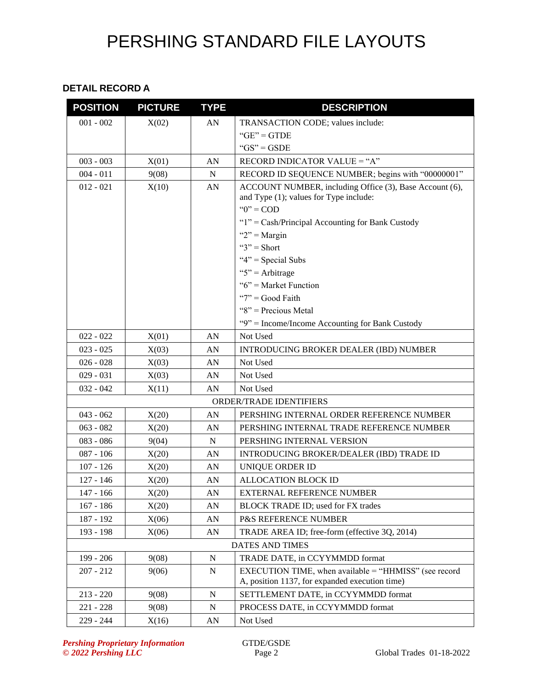#### **DETAIL RECORD A**

| <b>POSITION</b> | <b>PICTURE</b> | <b>TYPE</b> | <b>DESCRIPTION</b>                                                                                |
|-----------------|----------------|-------------|---------------------------------------------------------------------------------------------------|
| $001 - 002$     | X(02)          | AN          | TRANSACTION CODE; values include:                                                                 |
|                 |                |             | $"GE" = GTDE$                                                                                     |
|                 |                |             | " $GS" = GSDE$                                                                                    |
| $003 - 003$     | X(01)          | AN          | RECORD INDICATOR VALUE = "A"                                                                      |
| $004 - 011$     | 9(08)          | ${\bf N}$   | RECORD ID SEQUENCE NUMBER; begins with "00000001"                                                 |
| $012 - 021$     | X(10)          | AN          | ACCOUNT NUMBER, including Office (3), Base Account (6),<br>and Type (1); values for Type include: |
|                 |                |             | " $0$ " = COD                                                                                     |
|                 |                |             | "1" = Cash/Principal Accounting for Bank Custody                                                  |
|                 |                |             | " $2"$ = Margin                                                                                   |
|                 |                |             | " $3"$ = Short                                                                                    |
|                 |                |             | " $4$ " = Special Subs                                                                            |
|                 |                |             | " $5$ " = Arbitrage                                                                               |
|                 |                |             | " $6$ " = Market Function                                                                         |
|                 |                |             | " $7"$ = Good Faith                                                                               |
|                 |                |             | "8" = Precious Metal                                                                              |
|                 |                |             | "9" = Income/Income Accounting for Bank Custody                                                   |
| $022 - 022$     | X(01)          | AN          | Not Used                                                                                          |
| $023 - 025$     | X(03)          | AN          | <b>INTRODUCING BROKER DEALER (IBD) NUMBER</b>                                                     |
| $026 - 028$     | X(03)          | AN          | Not Used                                                                                          |
| $029 - 031$     | X(03)          | AN          | Not Used                                                                                          |
| $032 - 042$     | X(11)          | AN          | Not Used                                                                                          |
|                 |                |             | <b>ORDER/TRADE IDENTIFIERS</b>                                                                    |
| $043 - 062$     | X(20)          | AN          | PERSHING INTERNAL ORDER REFERENCE NUMBER                                                          |
| $063 - 082$     | X(20)          | AN          | PERSHING INTERNAL TRADE REFERENCE NUMBER                                                          |
| $083 - 086$     | 9(04)          | ${\bf N}$   | PERSHING INTERNAL VERSION                                                                         |
| $087 - 106$     | X(20)          | AN          | <b>INTRODUCING BROKER/DEALER (IBD) TRADE ID</b>                                                   |
| $107 - 126$     | X(20)          | AN          | UNIQUE ORDER ID                                                                                   |
| $127 - 146$     | X(20)          | AN          | <b>ALLOCATION BLOCK ID</b>                                                                        |
| $147 - 166$     | X(20)          | AN          | <b>EXTERNAL REFERENCE NUMBER</b>                                                                  |
| $167 - 186$     | X(20)          | AN          | <b>BLOCK TRADE ID; used for FX trades</b>                                                         |
| 187 - 192       | X(06)          | AN          | <b>P&amp;S REFERENCE NUMBER</b>                                                                   |
| 193 - 198       | X(06)          | AN          | TRADE AREA ID; free-form (effective 3Q, 2014)                                                     |
|                 |                |             | <b>DATES AND TIMES</b>                                                                            |
| 199 - 206       | 9(08)          | $\mathbf N$ | TRADE DATE, in CCYYMMDD format                                                                    |
| $207 - 212$     | 9(06)          | N           | EXECUTION TIME, when available = "HHMISS" (see record                                             |
|                 |                |             | A, position 1137, for expanded execution time)                                                    |
| $213 - 220$     | 9(08)          | $\mathbf N$ | SETTLEMENT DATE, in CCYYMMDD format                                                               |
| $221 - 228$     | 9(08)          | ${\bf N}$   | PROCESS DATE, in CCYYMMDD format                                                                  |
| 229 - 244       | X(16)          | AN          | Not Used                                                                                          |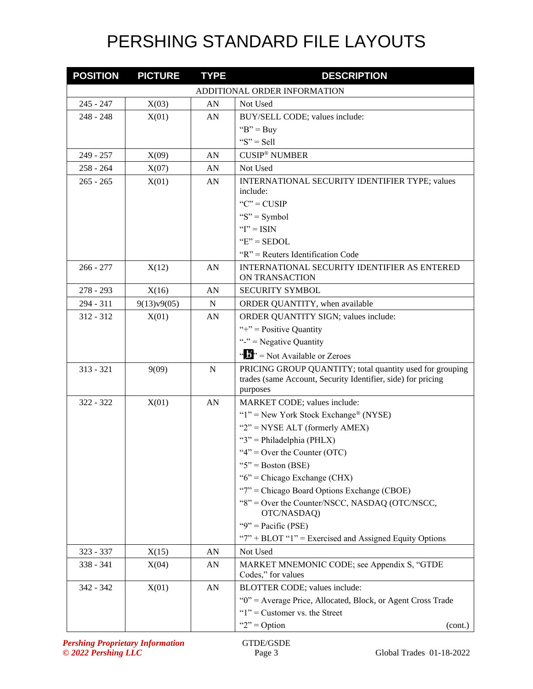| <b>POSITION</b> | <b>PICTURE</b> | <b>TYPE</b> | <b>DESCRIPTION</b>                                                                               |
|-----------------|----------------|-------------|--------------------------------------------------------------------------------------------------|
|                 |                |             | ADDITIONAL ORDER INFORMATION                                                                     |
| $245 - 247$     | X(03)          | AN          | Not Used                                                                                         |
| $248 - 248$     | X(01)          | AN          | BUY/SELL CODE; values include:                                                                   |
|                 |                |             | " $B$ " = Buy                                                                                    |
|                 |                |             | " $S$ " = Sell                                                                                   |
| 249 - 257       | X(09)          | AN          | <b>CUSIP<sup>®</sup> NUMBER</b>                                                                  |
| $258 - 264$     | X(07)          | AN          | Not Used                                                                                         |
| $265 - 265$     | X(01)          | AN          | INTERNATIONAL SECURITY IDENTIFIER TYPE; values                                                   |
|                 |                |             | include:                                                                                         |
|                 |                |             | " $C$ " = CUSIP                                                                                  |
|                 |                |             | " $S$ " = Symbol                                                                                 |
|                 |                |             | " $I$ " = ISIN                                                                                   |
|                 |                |             | " $E$ " = SEDOL                                                                                  |
|                 |                |             | $R'' =$ Reuters Identification Code                                                              |
| $266 - 277$     | X(12)          | AN          | INTERNATIONAL SECURITY IDENTIFIER AS ENTERED<br>ON TRANSACTION                                   |
| $278 - 293$     | X(16)          | AN          | <b>SECURITY SYMBOL</b>                                                                           |
| $294 - 311$     | 9(13)v9(05)    | N           | ORDER QUANTITY, when available                                                                   |
| $312 - 312$     | X(01)          | AN          | ORDER QUANTITY SIGN; values include:                                                             |
|                 |                |             | "+" = Positive Quantity                                                                          |
|                 |                |             | "-" = Negative Quantity                                                                          |
|                 |                |             | " $\frac{1}{2}$ " = Not Available or Zeroes                                                      |
| $313 - 321$     | 9(09)          | $\mathbf N$ | PRICING GROUP QUANTITY; total quantity used for grouping                                         |
|                 |                |             | trades (same Account, Security Identifier, side) for pricing                                     |
|                 |                |             | purposes                                                                                         |
| $322 - 322$     | X(01)          | AN          | MARKET CODE; values include:                                                                     |
|                 |                |             | " $1$ " = New York Stock Exchange® (NYSE)                                                        |
|                 |                |             | " $2$ " = NYSE ALT (formerly AMEX)                                                               |
|                 |                |             | " $3$ " = Philadelphia (PHLX)                                                                    |
|                 |                |             | " $4$ " = Over the Counter (OTC)                                                                 |
|                 |                |             | " $5$ " = Boston (BSE)                                                                           |
|                 |                |             | "6" = Chicago Exchange (CHX)                                                                     |
|                 |                |             | "7" = Chicago Board Options Exchange (CBOE)                                                      |
|                 |                |             | "8" = Over the Counter/NSCC, NASDAQ (OTC/NSCC,<br>OTC/NASDAQ)                                    |
|                 |                |             | "9" = Pacific (PSE)                                                                              |
|                 |                |             | " $7$ " + BLOT " $1$ " = Exercised and Assigned Equity Options                                   |
| 323 - 337       | X(15)          | AN          | Not Used                                                                                         |
| 338 - 341       | X(04)          | AN          | MARKET MNEMONIC CODE; see Appendix S, "GTDE<br>Codes," for values                                |
| 342 - 342       |                |             |                                                                                                  |
|                 | X(01)          | AN          | BLOTTER CODE; values include:                                                                    |
|                 |                |             | "0" = Average Price, Allocated, Block, or Agent Cross Trade<br>" $1$ " = Customer vs. the Street |
|                 |                |             |                                                                                                  |
|                 |                |             | " $2$ " = Option<br>(cont.)                                                                      |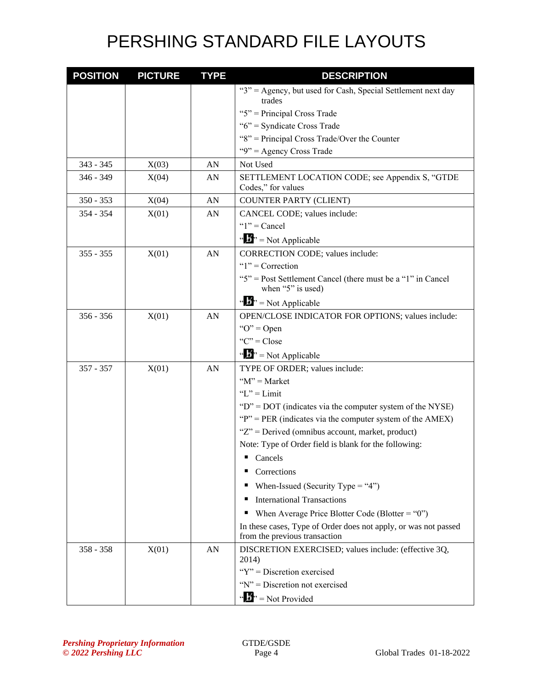| <b>POSITION</b> | <b>PICTURE</b> | <b>TYPE</b> | <b>DESCRIPTION</b>                                                                               |
|-----------------|----------------|-------------|--------------------------------------------------------------------------------------------------|
|                 |                |             | "3" = Agency, but used for Cash, Special Settlement next day                                     |
|                 |                |             | trades                                                                                           |
|                 |                |             | " $5$ " = Principal Cross Trade                                                                  |
|                 |                |             | " $6$ " = Syndicate Cross Trade                                                                  |
|                 |                |             | "8" = Principal Cross Trade/Over the Counter                                                     |
|                 |                |             | "9" = Agency Cross Trade                                                                         |
| 343 - 345       | X(03)          | AN          | Not Used                                                                                         |
| $346 - 349$     | X(04)          | AN          | SETTLEMENT LOCATION CODE; see Appendix S, "GTDE<br>Codes," for values                            |
| $350 - 353$     | X(04)          | AN          | <b>COUNTER PARTY (CLIENT)</b>                                                                    |
| 354 - 354       | X(01)          | AN          | CANCEL CODE; values include:                                                                     |
|                 |                |             | " $1$ " = Cancel                                                                                 |
|                 |                |             | $\cdots$ $\cdots$ $\cdots$ Not Applicable                                                        |
| $355 - 355$     | X(01)          | AN          | <b>CORRECTION CODE; values include:</b>                                                          |
|                 |                |             | " $1$ " = Correction                                                                             |
|                 |                |             | "5" = Post Settlement Cancel (there must be a "1" in Cancel                                      |
|                 |                |             | when "5" is used)                                                                                |
|                 |                |             | " $\mathbf{F}$ " = Not Applicable                                                                |
| $356 - 356$     | X(01)          | AN          | OPEN/CLOSE INDICATOR FOR OPTIONS; values include:                                                |
|                 |                |             | " $O$ " = Open                                                                                   |
|                 |                |             | " $C$ " = Close                                                                                  |
|                 |                |             | $\cdots$ $\cdots$ Not Applicable                                                                 |
| $357 - 357$     | X(01)          | AN          | TYPE OF ORDER; values include:                                                                   |
|                 |                |             | " $M$ " = Market                                                                                 |
|                 |                |             | " $L$ " = Limit                                                                                  |
|                 |                |             | " $D$ " = DOT (indicates via the computer system of the NYSE)                                    |
|                 |                |             | " $P$ " = PER (indicates via the computer system of the AMEX)                                    |
|                 |                |             | "Z" = Derived (omnibus account, market, product)                                                 |
|                 |                |             | Note: Type of Order field is blank for the following:                                            |
|                 |                |             | Cancels                                                                                          |
|                 |                |             | Corrections                                                                                      |
|                 |                |             | When-Issued (Security Type = "4")                                                                |
|                 |                |             | <b>International Transactions</b><br>н                                                           |
|                 |                |             | When Average Price Blotter Code (Blotter = "0")<br>п                                             |
|                 |                |             | In these cases, Type of Order does not apply, or was not passed<br>from the previous transaction |
| $358 - 358$     | X(01)          | AN          | DISCRETION EXERCISED; values include: (effective 3Q,<br>2014)                                    |
|                 |                |             | "Y" = Discretion exercised                                                                       |
|                 |                |             | " $N$ " = Discretion not exercised                                                               |
|                 |                |             | " $\mathbf{B}^{\prime\prime}$ " = Not Provided                                                   |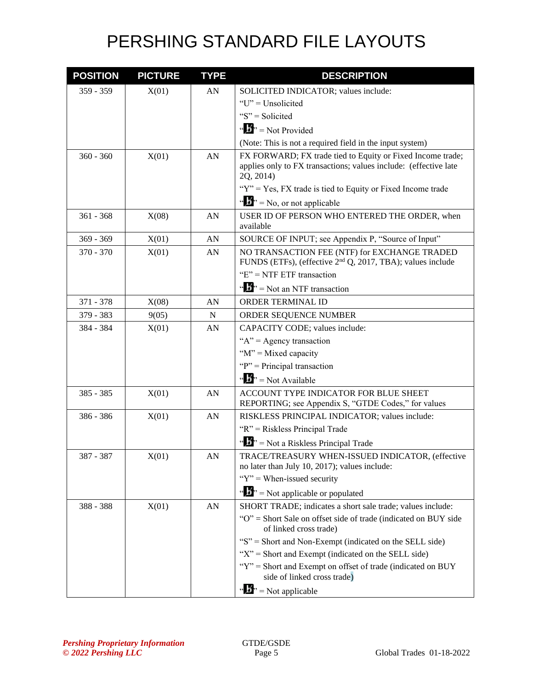| <b>POSITION</b> | <b>PICTURE</b> | <b>TYPE</b> | <b>DESCRIPTION</b>                                                                                                                          |
|-----------------|----------------|-------------|---------------------------------------------------------------------------------------------------------------------------------------------|
| $359 - 359$     | X(01)          | AN          | SOLICITED INDICATOR; values include:                                                                                                        |
|                 |                |             | "U" = Unsolicited                                                                                                                           |
|                 |                |             | " $S$ " = Solicited                                                                                                                         |
|                 |                |             | " $\mathbf{B}$ " = Not Provided                                                                                                             |
|                 |                |             | (Note: This is not a required field in the input system)                                                                                    |
| $360 - 360$     | X(01)          | AN          | FX FORWARD; FX trade tied to Equity or Fixed Income trade;<br>applies only to FX transactions; values include: (effective late<br>2Q, 2014) |
|                 |                |             | " $Y$ " = Yes, FX trade is tied to Equity or Fixed Income trade                                                                             |
|                 |                |             | " $\mathbf{N}$ " = No, or not applicable                                                                                                    |
| $361 - 368$     | X(08)          | AN          | USER ID OF PERSON WHO ENTERED THE ORDER, when<br>available                                                                                  |
| $369 - 369$     | X(01)          | AN          | SOURCE OF INPUT; see Appendix P, "Source of Input"                                                                                          |
| $370 - 370$     | X(01)          | AN          | NO TRANSACTION FEE (NTF) for EXCHANGE TRADED<br>FUNDS (ETFs), (effective 2 <sup>nd</sup> Q, 2017, TBA); values include                      |
|                 |                |             | " $E$ " = NTF ETF transaction                                                                                                               |
|                 |                |             | " $\mathbf{J}^{\prime\prime}$ " = Not an NTF transaction                                                                                    |
| 371 - 378       | X(08)          | AN          | ORDER TERMINAL ID                                                                                                                           |
| 379 - 383       | 9(05)          | N           | ORDER SEQUENCE NUMBER                                                                                                                       |
| 384 - 384       | X(01)          | AN          | CAPACITY CODE; values include:                                                                                                              |
|                 |                |             | " $A$ " = Agency transaction                                                                                                                |
|                 |                |             | " $M$ " = Mixed capacity                                                                                                                    |
|                 |                |             | " $P$ " = Principal transaction                                                                                                             |
|                 |                |             | " $\mathbf{B}$ " = Not Available                                                                                                            |
| 385 - 385       | X(01)          | AN          | ACCOUNT TYPE INDICATOR FOR BLUE SHEET<br>REPORTING; see Appendix S, "GTDE Codes," for values                                                |
| 386 - 386       | X(01)          | AN          | RISKLESS PRINCIPAL INDICATOR; values include:                                                                                               |
|                 |                |             | "R" = Riskless Principal Trade                                                                                                              |
|                 |                |             | " $\mathbf{F}$ " = Not a Riskless Principal Trade                                                                                           |
| 387 - 387       | X(01)          | ${\rm AN}$  | TRACE/TREASURY WHEN-ISSUED INDICATOR, (effective<br>no later than July 10, 2017); values include:                                           |
|                 |                |             | " $Y$ " = When-issued security"                                                                                                             |
|                 |                |             | " $\mathbf{F}$ " = Not applicable or populated                                                                                              |
| 388 - 388       | X(01)          | AN          | SHORT TRADE; indicates a short sale trade; values include:                                                                                  |
|                 |                |             | "O" = Short Sale on offset side of trade (indicated on BUY side<br>of linked cross trade)                                                   |
|                 |                |             | "S" = Short and Non-Exempt (indicated on the SELL side)                                                                                     |
|                 |                |             | " $X$ " = Short and Exempt (indicated on the SELL side)                                                                                     |
|                 |                |             | "Y" = Short and Exempt on offset of trade (indicated on BUY<br>side of linked cross trade)                                                  |
|                 |                |             | $\mathbf{w} = \mathbf{N}$ is applicable                                                                                                     |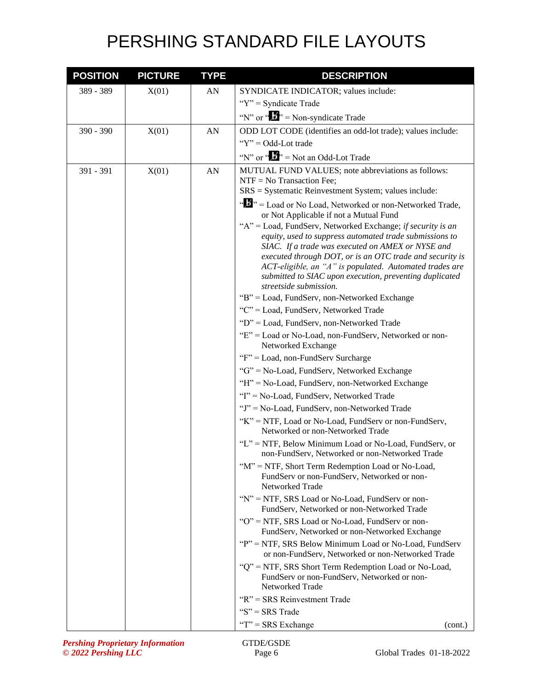| <b>POSITION</b> | <b>PICTURE</b> | <b>TYPE</b> | <b>DESCRIPTION</b>                                                                                                                                                                                                                                                                                                                                                                                                                                                                                                                                                                                                                                                                            |
|-----------------|----------------|-------------|-----------------------------------------------------------------------------------------------------------------------------------------------------------------------------------------------------------------------------------------------------------------------------------------------------------------------------------------------------------------------------------------------------------------------------------------------------------------------------------------------------------------------------------------------------------------------------------------------------------------------------------------------------------------------------------------------|
| 389 - 389       | X(01)          | AN          | SYNDICATE INDICATOR; values include:                                                                                                                                                                                                                                                                                                                                                                                                                                                                                                                                                                                                                                                          |
|                 |                |             | "Y" = Syndicate Trade                                                                                                                                                                                                                                                                                                                                                                                                                                                                                                                                                                                                                                                                         |
|                 |                |             | "N" or " $\bullet$ " = Non-syndicate Trade                                                                                                                                                                                                                                                                                                                                                                                                                                                                                                                                                                                                                                                    |
| 390 - 390       | X(01)          | AN          | ODD LOT CODE (identifies an odd-lot trade); values include:                                                                                                                                                                                                                                                                                                                                                                                                                                                                                                                                                                                                                                   |
|                 |                |             | " $Y$ " = Odd-Lot trade                                                                                                                                                                                                                                                                                                                                                                                                                                                                                                                                                                                                                                                                       |
|                 |                |             | "N" or " $\mathbf{J}$ " = Not an Odd-Lot Trade                                                                                                                                                                                                                                                                                                                                                                                                                                                                                                                                                                                                                                                |
| 391 - 391       | X(01)          | AN          | MUTUAL FUND VALUES; note abbreviations as follows:<br>$NTF = No Transaction Fe$ ;<br>SRS = Systematic Reinvestment System; values include:                                                                                                                                                                                                                                                                                                                                                                                                                                                                                                                                                    |
|                 |                |             | "D" = Load or No Load, Networked or non-Networked Trade,<br>or Not Applicable if not a Mutual Fund<br>"A" = Load, FundServ, Networked Exchange; if security is an<br>equity, used to suppress automated trade submissions to<br>SIAC. If a trade was executed on AMEX or NYSE and<br>executed through DOT, or is an OTC trade and security is<br>ACT-eligible, an "A" is populated. Automated trades are<br>submitted to SIAC upon execution, preventing duplicated<br>streetside submission.<br>"B" = Load, FundServ, non-Networked Exchange<br>"C" = Load, FundServ, Networked Trade<br>"D" = Load, FundServ, non-Networked Trade<br>"E" = Load or No-Load, non-FundServ, Networked or non- |
|                 |                |             | Networked Exchange<br>"F" = Load, non-FundServ Surcharge                                                                                                                                                                                                                                                                                                                                                                                                                                                                                                                                                                                                                                      |
|                 |                |             | "G" = No-Load, FundServ, Networked Exchange                                                                                                                                                                                                                                                                                                                                                                                                                                                                                                                                                                                                                                                   |
|                 |                |             | "H" = No-Load, FundServ, non-Networked Exchange                                                                                                                                                                                                                                                                                                                                                                                                                                                                                                                                                                                                                                               |
|                 |                |             | "I" = No-Load, FundServ, Networked Trade                                                                                                                                                                                                                                                                                                                                                                                                                                                                                                                                                                                                                                                      |
|                 |                |             | "J" = No-Load, FundServ, non-Networked Trade                                                                                                                                                                                                                                                                                                                                                                                                                                                                                                                                                                                                                                                  |
|                 |                |             | "K" = NTF, Load or No-Load, FundServ or non-FundServ,<br>Networked or non-Networked Trade                                                                                                                                                                                                                                                                                                                                                                                                                                                                                                                                                                                                     |
|                 |                |             | "L" = NTF, Below Minimum Load or No-Load, FundServ, or<br>non-FundServ, Networked or non-Networked Trade                                                                                                                                                                                                                                                                                                                                                                                                                                                                                                                                                                                      |
|                 |                |             | "M" = NTF, Short Term Redemption Load or No-Load,<br>FundServ or non-FundServ, Networked or non-<br>Networked Trade                                                                                                                                                                                                                                                                                                                                                                                                                                                                                                                                                                           |
|                 |                |             | "N" = NTF, SRS Load or No-Load, FundServ or non-<br>FundServ, Networked or non-Networked Trade                                                                                                                                                                                                                                                                                                                                                                                                                                                                                                                                                                                                |
|                 |                |             | "O" = NTF, SRS Load or No-Load, FundServ or non-<br>FundServ, Networked or non-Networked Exchange                                                                                                                                                                                                                                                                                                                                                                                                                                                                                                                                                                                             |
|                 |                |             | "P" = NTF, SRS Below Minimum Load or No-Load, FundServ<br>or non-FundServ, Networked or non-Networked Trade                                                                                                                                                                                                                                                                                                                                                                                                                                                                                                                                                                                   |
|                 |                |             | "Q" = NTF, SRS Short Term Redemption Load or No-Load,<br>FundServ or non-FundServ, Networked or non-<br>Networked Trade                                                                                                                                                                                                                                                                                                                                                                                                                                                                                                                                                                       |
|                 |                |             | " $R$ " = SRS Reinvestment Trade                                                                                                                                                                                                                                                                                                                                                                                                                                                                                                                                                                                                                                                              |
|                 |                |             | " $S$ " = SRS Trade                                                                                                                                                                                                                                                                                                                                                                                                                                                                                                                                                                                                                                                                           |
|                 |                |             | "T" = SRS Exchange<br>(cont.)                                                                                                                                                                                                                                                                                                                                                                                                                                                                                                                                                                                                                                                                 |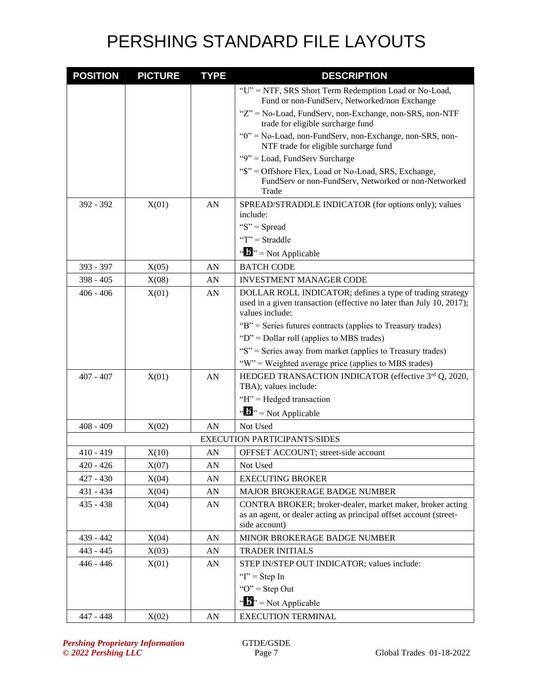| <b>POSITION</b> | <b>PICTURE</b> | <b>TYPE</b> | <b>DESCRIPTION</b>                                                                                                                                   |
|-----------------|----------------|-------------|------------------------------------------------------------------------------------------------------------------------------------------------------|
|                 |                |             | "U" = NTF, SRS Short Term Redemption Load or No-Load,<br>Fund or non-FundServ, Networked/non Exchange                                                |
|                 |                |             | "Z" = No-Load, FundServ, non-Exchange, non-SRS, non-NTF<br>trade for eligible surcharge fund                                                         |
|                 |                |             | "0" = No-Load, non-FundServ, non-Exchange, non-SRS, non-<br>NTF trade for eligible surcharge fund                                                    |
|                 |                |             | "9" = Load, FundServ Surcharge                                                                                                                       |
|                 |                |             | "\$" = Offshore Flex, Load or No-Load, SRS, Exchange,<br>FundServ or non-FundServ, Networked or non-Networked<br>Trade                               |
| 392 - 392       | X(01)          | AN          | SPREAD/STRADDLE INDICATOR (for options only); values<br>include:                                                                                     |
|                 |                |             | " $S$ " = Spread                                                                                                                                     |
|                 |                |             | " $T$ " = Straddle                                                                                                                                   |
|                 |                |             | $\cdots$ $\cdots$ $\cdots$ Not Applicable                                                                                                            |
| 393 - 397       | X(05)          | AN          | <b>BATCH CODE</b>                                                                                                                                    |
| $398 - 405$     | X(08)          | AN          | <b>INVESTMENT MANAGER CODE</b>                                                                                                                       |
| $406 - 406$     | X(01)          | AN          | DOLLAR ROLL INDICATOR; defines a type of trading strategy<br>used in a given transaction (effective no later than July 10, 2017);<br>values include: |
|                 |                |             | "B" = Series futures contracts (applies to Treasury trades)                                                                                          |
|                 |                |             | " $D$ " = Dollar roll (applies to MBS trades)                                                                                                        |
|                 |                |             | "S" = Series away from market (applies to Treasury trades)                                                                                           |
|                 |                |             | "W" = Weighted average price (applies to MBS trades)                                                                                                 |
| $407 - 407$     | X(01)          | AN          | HEDGED TRANSACTION INDICATOR (effective 3rd Q, 2020,<br>TBA); values include:                                                                        |
|                 |                |             | "H" = Hedged transaction                                                                                                                             |
|                 |                |             | " $\mathbf{B}$ " = Not Applicable                                                                                                                    |
| $408 - 409$     | X(02)          | AN          | Not Used                                                                                                                                             |
|                 |                |             | <b>EXECUTION PARTICIPANTS/SIDES</b>                                                                                                                  |
| $410 - 419$     | X(10)          | AN          | OFFSET ACCOUNT; street-side account                                                                                                                  |
| $420 - 426$     | X(07)          | AN          | Not Used                                                                                                                                             |
| $427 - 430$     | X(04)          | AN          | <b>EXECUTING BROKER</b>                                                                                                                              |
| 431 - 434       | X(04)          | AN          | MAJOR BROKERAGE BADGE NUMBER                                                                                                                         |
| $435 - 438$     | X(04)          | AN          | CONTRA BROKER; broker-dealer, market maker, broker acting                                                                                            |
|                 |                |             | as an agent, or dealer acting as principal offset account (street-                                                                                   |
|                 |                |             | side account)                                                                                                                                        |
| 439 - 442       | X(04)          | AN          | MINOR BROKERAGE BADGE NUMBER                                                                                                                         |
| $443 - 445$     | X(03)          | AN          | <b>TRADER INITIALS</b>                                                                                                                               |
| $446 - 446$     | X(01)          | AN          | STEP IN/STEP OUT INDICATOR; values include:                                                                                                          |
|                 |                |             | " $I$ " = Step In                                                                                                                                    |
|                 |                |             | " $O$ " = Step Out                                                                                                                                   |
|                 |                |             | " $\frac{1}{2}$ " = Not Applicable                                                                                                                   |
| 447 - 448       | X(02)          | AN          | <b>EXECUTION TERMINAL</b>                                                                                                                            |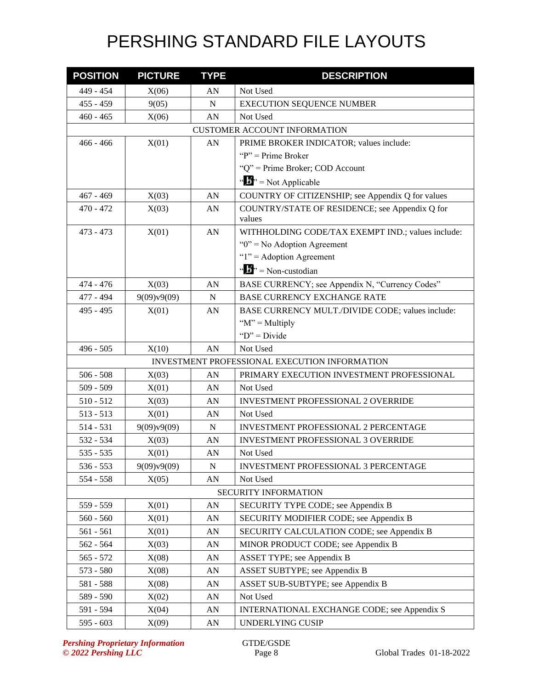| <b>POSITION</b> | <b>PICTURE</b> | <b>TYPE</b>      | <b>DESCRIPTION</b>                                |
|-----------------|----------------|------------------|---------------------------------------------------|
| 449 - 454       | X(06)          | AN               | Not Used                                          |
| $455 - 459$     | 9(05)          | $\mathbf N$      | <b>EXECUTION SEQUENCE NUMBER</b>                  |
| $460 - 465$     | X(06)          | AN               | Not Used                                          |
|                 |                |                  | <b>CUSTOMER ACCOUNT INFORMATION</b>               |
| $466 - 466$     | X(01)          | AN               | PRIME BROKER INDICATOR; values include:           |
|                 |                |                  | " $P$ " = Prime Broker"                           |
|                 |                |                  | "Q" = Prime Broker; COD Account                   |
|                 |                |                  | " $\mathbf{B}$ " = Not Applicable                 |
| $467 - 469$     | X(03)          | AN               | COUNTRY OF CITIZENSHIP; see Appendix Q for values |
| $470 - 472$     | X(03)          | AN               | COUNTRY/STATE OF RESIDENCE; see Appendix Q for    |
|                 |                |                  | values                                            |
| $473 - 473$     | X(01)          | AN               | WITHHOLDING CODE/TAX EXEMPT IND.; values include: |
|                 |                |                  | " $0$ " = No Adoption Agreement                   |
|                 |                |                  | " $1$ " = Adoption Agreement                      |
|                 |                |                  | " $\mathbf{b}$ " = Non-custodian                  |
| 474 - 476       | X(03)          | AN               | BASE CURRENCY; see Appendix N, "Currency Codes"   |
| 477 - 494       | 9(09)v9(09)    | N                | <b>BASE CURRENCY EXCHANGE RATE</b>                |
| 495 - 495       | X(01)          | AN               | BASE CURRENCY MULT./DIVIDE CODE; values include:  |
|                 |                |                  | " $M$ " = Multiply                                |
|                 |                |                  | " $D$ " = Divide"                                 |
| $496 - 505$     | X(10)          | AN               | Not Used                                          |
|                 |                |                  | INVESTMENT PROFESSIONAL EXECUTION INFORMATION     |
| $506 - 508$     | X(03)          | AN               | PRIMARY EXECUTION INVESTMENT PROFESSIONAL         |
| $509 - 509$     | X(01)          | AN               | Not Used                                          |
| $510 - 512$     | X(03)          | AN               | <b>INVESTMENT PROFESSIONAL 2 OVERRIDE</b>         |
| $513 - 513$     | X(01)          | AN               | Not Used                                          |
| $514 - 531$     | 9(09)v9(09)    | $\mathbf N$      | <b>INVESTMENT PROFESSIONAL 2 PERCENTAGE</b>       |
| 532 - 534       | X(03)          | AN               | <b>INVESTMENT PROFESSIONAL 3 OVERRIDE</b>         |
| $535 - 535$     | X(01)          | AN               | Not Used                                          |
| $536 - 553$     | 9(09)v9(09)    | N                | INVESTMENT PROFESSIONAL 3 PERCENTAGE              |
| 554 - 558       | X(05)          | AN               | Not Used                                          |
|                 |                |                  | SECURITY INFORMATION                              |
| 559 - 559       | X(01)          | ${\bf A}{\bf N}$ | SECURITY TYPE CODE; see Appendix B                |
| $560 - 560$     | X(01)          | AN               | SECURITY MODIFIER CODE; see Appendix B            |
| 561 - 561       | X(01)          | AN               | SECURITY CALCULATION CODE; see Appendix B         |
| $562 - 564$     | X(03)          | AN               | MINOR PRODUCT CODE; see Appendix B                |
| $565 - 572$     | X(08)          | AN               | ASSET TYPE; see Appendix B                        |
| 573 - 580       | X(08)          | AN               | ASSET SUBTYPE; see Appendix B                     |
| 581 - 588       | X(08)          | AN               | ASSET SUB-SUBTYPE; see Appendix B                 |
| 589 - 590       | X(02)          | AN               | Not Used                                          |
| 591 - 594       | X(04)          | AN               | INTERNATIONAL EXCHANGE CODE; see Appendix S       |
| 595 - 603       | X(09)          | AN               | UNDERLYING CUSIP                                  |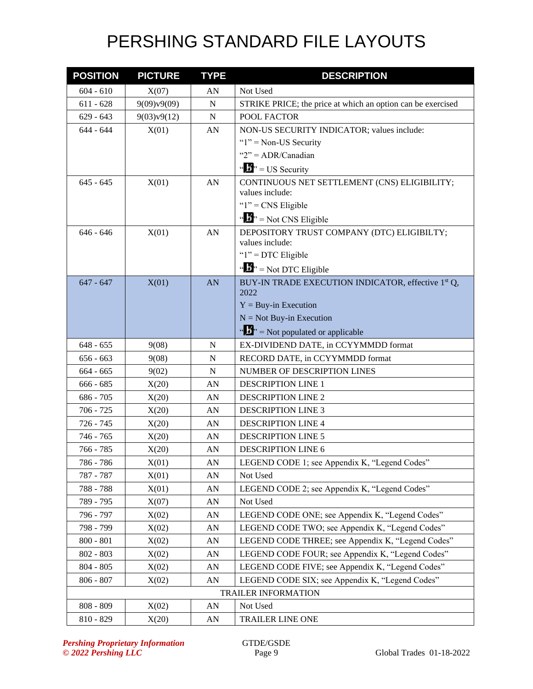| <b>POSITION</b> | <b>PICTURE</b> | <b>TYPE</b>      | <b>DESCRIPTION</b>                                                     |
|-----------------|----------------|------------------|------------------------------------------------------------------------|
| $604 - 610$     | X(07)          | AN               | Not Used                                                               |
| $611 - 628$     | 9(09)v9(09)    | $\mathbf N$      | STRIKE PRICE; the price at which an option can be exercised            |
| $629 - 643$     | 9(03)v9(12)    | N                | POOL FACTOR                                                            |
| $644 - 644$     | X(01)          | AN               | NON-US SECURITY INDICATOR; values include:                             |
|                 |                |                  | " $1$ " = Non-US Security                                              |
|                 |                |                  | " $2" = ADR/Canadian$                                                  |
|                 |                |                  | $\mathbf{u}$ $\mathbf{v}$ <sup>3</sup> , = US Security                 |
| $645 - 645$     | X(01)          | AN               | CONTINUOUS NET SETTLEMENT (CNS) ELIGIBILITY;                           |
|                 |                |                  | values include:                                                        |
|                 |                |                  | " $1$ " = CNS Eligible                                                 |
|                 |                |                  | " $\mathbf{J}^{\prime\prime}$ = Not CNS Eligible                       |
| $646 - 646$     | X(01)          | AN               | DEPOSITORY TRUST COMPANY (DTC) ELIGIBILTY;                             |
|                 |                |                  | values include:                                                        |
|                 |                |                  | " $1$ " = DTC Eligible                                                 |
|                 |                |                  | " $\mathbf{J}^{\prime\prime}$ " = Not DTC Eligible                     |
| $647 - 647$     | X(01)          | AN               | BUY-IN TRADE EXECUTION INDICATOR, effective 1 <sup>st</sup> Q,<br>2022 |
|                 |                |                  | $Y = Buy-in$ Execution                                                 |
|                 |                |                  | $N = Not Buy-in Execution$                                             |
|                 |                |                  | $\mathbf{A}^{\prime\prime}$ = Not populated or applicable              |
| $648 - 655$     | 9(08)          | N                | EX-DIVIDEND DATE, in CCYYMMDD format                                   |
| $656 - 663$     | 9(08)          | N                | RECORD DATE, in CCYYMMDD format                                        |
| $664 - 665$     | 9(02)          | N                | NUMBER OF DESCRIPTION LINES                                            |
| $666 - 685$     | X(20)          | AN               | <b>DESCRIPTION LINE 1</b>                                              |
| $686 - 705$     | X(20)          | AN               | <b>DESCRIPTION LINE 2</b>                                              |
| $706 - 725$     | X(20)          | AN               | <b>DESCRIPTION LINE 3</b>                                              |
| 726 - 745       | X(20)          | AN               | <b>DESCRIPTION LINE 4</b>                                              |
| 746 - 765       | X(20)          | AN               | <b>DESCRIPTION LINE 5</b>                                              |
| 766 - 785       | X(20)          | AN               | <b>DESCRIPTION LINE 6</b>                                              |
| 786 - 786       | X(01)          | ${\rm AN}$       | LEGEND CODE 1; see Appendix K, "Legend Codes"                          |
| $787 - 787$     | X(01)          | AN               | Not Used                                                               |
| 788 - 788       | X(01)          | ${\bf A}{\bf N}$ | LEGEND CODE 2; see Appendix K, "Legend Codes"                          |
| 789 - 795       | X(07)          | AN               | Not Used                                                               |
| 796 - 797       | X(02)          | AN               | LEGEND CODE ONE; see Appendix K, "Legend Codes"                        |
| 798 - 799       | X(02)          | AN               | LEGEND CODE TWO; see Appendix K, "Legend Codes"                        |
| $800 - 801$     | X(02)          | ${\bf A}{\bf N}$ | LEGEND CODE THREE; see Appendix K, "Legend Codes"                      |
| $802 - 803$     | X(02)          | AN               | LEGEND CODE FOUR; see Appendix K, "Legend Codes"                       |
| $804 - 805$     | X(02)          | ${\bf A}{\bf N}$ | LEGEND CODE FIVE; see Appendix K, "Legend Codes"                       |
| $806 - 807$     | X(02)          | AN               | LEGEND CODE SIX; see Appendix K, "Legend Codes"                        |
|                 |                |                  | <b>TRAILER INFORMATION</b>                                             |
| $808 - 809$     | X(02)          | AN               | Not Used                                                               |
| $810 - 829$     | X(20)          | AN               | TRAILER LINE ONE                                                       |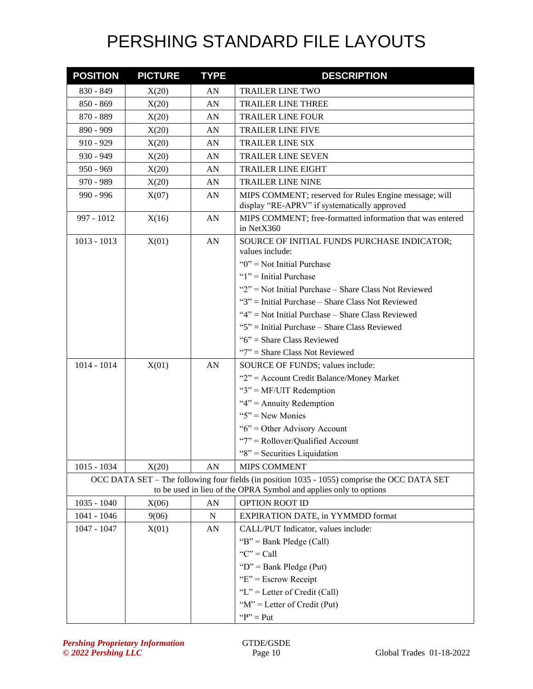| <b>POSITION</b> | <b>PICTURE</b> | <b>TYPE</b> | <b>DESCRIPTION</b>                                                                                                                                                |
|-----------------|----------------|-------------|-------------------------------------------------------------------------------------------------------------------------------------------------------------------|
| $830 - 849$     | X(20)          | AN          | <b>TRAILER LINE TWO</b>                                                                                                                                           |
| $850 - 869$     | X(20)          | AN          | <b>TRAILER LINE THREE</b>                                                                                                                                         |
| 870 - 889       | X(20)          | AN          | <b>TRAILER LINE FOUR</b>                                                                                                                                          |
| 890 - 909       | X(20)          | AN          | <b>TRAILER LINE FIVE</b>                                                                                                                                          |
| $910 - 929$     | X(20)          | AN          | <b>TRAILER LINE SIX</b>                                                                                                                                           |
| $930 - 949$     | X(20)          | AN          | <b>TRAILER LINE SEVEN</b>                                                                                                                                         |
| $950 - 969$     | X(20)          | AN          | <b>TRAILER LINE EIGHT</b>                                                                                                                                         |
| 970 - 989       | X(20)          | AN          | <b>TRAILER LINE NINE</b>                                                                                                                                          |
| $990 - 996$     | X(07)          | AN          | MIPS COMMENT; reserved for Rules Engine message; will<br>display "RE-APRV" if systematically approved                                                             |
| 997 - 1012      | X(16)          | AN          | MIPS COMMENT; free-formatted information that was entered<br>in NetX360                                                                                           |
| $1013 - 1013$   | X(01)          | AN          | SOURCE OF INITIAL FUNDS PURCHASE INDICATOR;<br>values include:                                                                                                    |
|                 |                |             | " $0$ " = Not Initial Purchase                                                                                                                                    |
|                 |                |             | " $1$ " = Initial Purchase                                                                                                                                        |
|                 |                |             | "2" = Not Initial Purchase - Share Class Not Reviewed                                                                                                             |
|                 |                |             | " $3$ " = Initial Purchase – Share Class Not Reviewed                                                                                                             |
|                 |                |             | " $4$ " = Not Initial Purchase – Share Class Reviewed                                                                                                             |
|                 |                |             | "5" = Initial Purchase – Share Class Reviewed                                                                                                                     |
|                 |                |             | "6" = Share Class Reviewed                                                                                                                                        |
|                 |                |             | " $7$ " = Share Class Not Reviewed                                                                                                                                |
| $1014 - 1014$   | X(01)          | AN          | SOURCE OF FUNDS; values include:                                                                                                                                  |
|                 |                |             | "2" = Account Credit Balance/Money Market                                                                                                                         |
|                 |                |             | " $3$ " = MF/UIT Redemption                                                                                                                                       |
|                 |                |             | " $4$ " = Annuity Redemption                                                                                                                                      |
|                 |                |             | " $5$ " = New Monies                                                                                                                                              |
|                 |                |             | " $6$ " = Other Advisory Account                                                                                                                                  |
|                 |                |             | "7" = Rollover/Qualified Account                                                                                                                                  |
|                 |                |             | "8" = Securities Liquidation                                                                                                                                      |
| $1015 - 1034$   | X(20)          | AN          | MIPS COMMENT                                                                                                                                                      |
|                 |                |             | OCC DATA SET – The following four fields (in position 1035 - 1055) comprise the OCC DATA SET<br>to be used in lieu of the OPRA Symbol and applies only to options |
| $1035 - 1040$   | X(06)          | AN          | <b>OPTION ROOT ID</b>                                                                                                                                             |
| 1041 - 1046     | 9(06)          | ${\bf N}$   | <b>EXPIRATION DATE, in YYMMDD format</b>                                                                                                                          |
| 1047 - 1047     | X(01)          | AN          | CALL/PUT Indicator, values include:                                                                                                                               |
|                 |                |             | "B" = Bank Pledge (Call)                                                                                                                                          |
|                 |                |             | " $C$ " = Call                                                                                                                                                    |
|                 |                |             | " $D$ " = Bank Pledge (Put)                                                                                                                                       |
|                 |                |             | " $E$ " = Escrow Receipt                                                                                                                                          |
|                 |                |             | "L" = Letter of Credit (Call)                                                                                                                                     |
|                 |                |             | " $M$ " = Letter of Credit (Put)                                                                                                                                  |
|                 |                |             | " $P$ " = Put                                                                                                                                                     |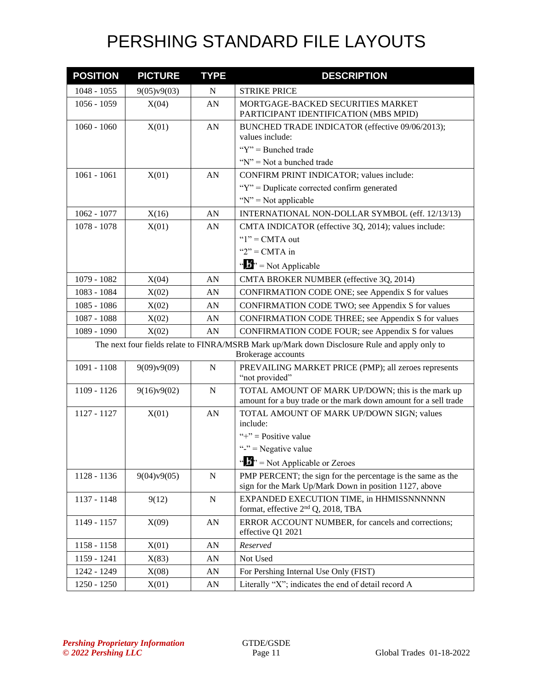| <b>POSITION</b>                                                                                                     | <b>PICTURE</b> | <b>TYPE</b> | <b>DESCRIPTION</b>                                                                                                    |  |  |
|---------------------------------------------------------------------------------------------------------------------|----------------|-------------|-----------------------------------------------------------------------------------------------------------------------|--|--|
| $1048 - 1055$                                                                                                       | 9(05)v9(03)    | ${\bf N}$   | <b>STRIKE PRICE</b>                                                                                                   |  |  |
| $1056 - 1059$                                                                                                       | X(04)          | AN          | MORTGAGE-BACKED SECURITIES MARKET<br>PARTICIPANT IDENTIFICATION (MBS MPID)                                            |  |  |
| $1060 - 1060$                                                                                                       | X(01)          | AN          | BUNCHED TRADE INDICATOR (effective 09/06/2013);<br>values include:                                                    |  |  |
|                                                                                                                     |                |             | " $Y$ " = Bunched trade                                                                                               |  |  |
|                                                                                                                     |                |             | " $N$ " = Not a bunched trade                                                                                         |  |  |
| $1061 - 1061$                                                                                                       | X(01)          | AN          | CONFIRM PRINT INDICATOR; values include:                                                                              |  |  |
|                                                                                                                     |                |             | " $Y$ " = Duplicate corrected confirm generated                                                                       |  |  |
|                                                                                                                     |                |             | " $N$ " = Not applicable                                                                                              |  |  |
| $1062 - 1077$                                                                                                       | X(16)          | AN          | INTERNATIONAL NON-DOLLAR SYMBOL (eff. 12/13/13)                                                                       |  |  |
| 1078 - 1078                                                                                                         | X(01)          | AN          | CMTA INDICATOR (effective 3Q, 2014); values include:                                                                  |  |  |
|                                                                                                                     |                |             | " $1$ " = CMTA out                                                                                                    |  |  |
|                                                                                                                     |                |             | " $2"$ = CMTA in                                                                                                      |  |  |
|                                                                                                                     |                |             | " $\frac{1}{2}$ " = Not Applicable                                                                                    |  |  |
| 1079 - 1082                                                                                                         | X(04)          | AN          | CMTA BROKER NUMBER (effective 3Q, 2014)                                                                               |  |  |
| 1083 - 1084                                                                                                         | X(02)          | AN          | CONFIRMATION CODE ONE; see Appendix S for values                                                                      |  |  |
| 1085 - 1086                                                                                                         | X(02)          | AN          | CONFIRMATION CODE TWO; see Appendix S for values                                                                      |  |  |
| 1087 - 1088                                                                                                         | X(02)          | AN          | CONFIRMATION CODE THREE; see Appendix S for values                                                                    |  |  |
| 1089 - 1090                                                                                                         | X(02)          | AN          | CONFIRMATION CODE FOUR; see Appendix S for values                                                                     |  |  |
| The next four fields relate to FINRA/MSRB Mark up/Mark down Disclosure Rule and apply only to<br>Brokerage accounts |                |             |                                                                                                                       |  |  |
| 1091 - 1108                                                                                                         | 9(09)v9(09)    | ${\bf N}$   | PREVAILING MARKET PRICE (PMP); all zeroes represents<br>"not provided"                                                |  |  |
| 1109 - 1126                                                                                                         | 9(16)v9(02)    | $\mathbf N$ | TOTAL AMOUNT OF MARK UP/DOWN; this is the mark up<br>amount for a buy trade or the mark down amount for a sell trade  |  |  |
| 1127 - 1127                                                                                                         | X(01)          | AN          | TOTAL AMOUNT OF MARK UP/DOWN SIGN; values<br>include:                                                                 |  |  |
|                                                                                                                     |                |             | "+" = Positive value                                                                                                  |  |  |
|                                                                                                                     |                |             | "-" = Negative value                                                                                                  |  |  |
|                                                                                                                     |                |             | " $\mathbf{B}$ " = Not Applicable or Zeroes                                                                           |  |  |
| 1128 - 1136                                                                                                         | 9(04)v9(05)    | ${\bf N}$   | PMP PERCENT; the sign for the percentage is the same as the<br>sign for the Mark Up/Mark Down in position 1127, above |  |  |
| 1137 - 1148                                                                                                         | 9(12)          | ${\bf N}$   | EXPANDED EXECUTION TIME, in HHMISSNNNNNN<br>format, effective 2 <sup>nd</sup> Q, 2018, TBA                            |  |  |
| 1149 - 1157                                                                                                         | X(09)          | AN          | ERROR ACCOUNT NUMBER, for cancels and corrections;<br>effective Q1 2021                                               |  |  |
| $1158 - 1158$                                                                                                       | X(01)          | ${\rm AN}$  | Reserved                                                                                                              |  |  |
| 1159 - 1241                                                                                                         | X(83)          | AN          | Not Used                                                                                                              |  |  |
| 1242 - 1249                                                                                                         | X(08)          | AN          | For Pershing Internal Use Only (FIST)                                                                                 |  |  |
| 1250 - 1250                                                                                                         | X(01)          | AN          | Literally "X"; indicates the end of detail record A                                                                   |  |  |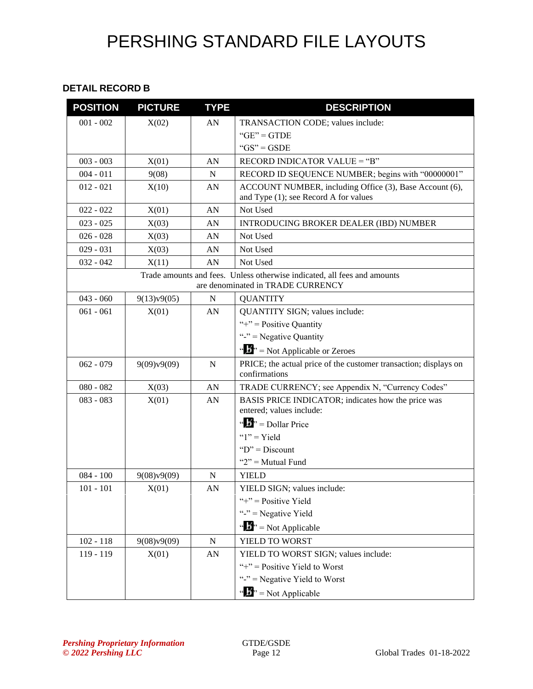#### **DETAIL RECORD B**

| <b>POSITION</b> | <b>PICTURE</b> | <b>TYPE</b> | <b>DESCRIPTION</b>                                                                                            |
|-----------------|----------------|-------------|---------------------------------------------------------------------------------------------------------------|
| $001 - 002$     | X(02)          | AN          | TRANSACTION CODE; values include:                                                                             |
|                 |                |             | $"GE" = GTDE$                                                                                                 |
|                 |                |             | " $GS" = GSDE$                                                                                                |
| $003 - 003$     | X(01)          | AN          | RECORD INDICATOR VALUE = "B"                                                                                  |
| $004 - 011$     | 9(08)          | $\mathbf N$ | RECORD ID SEQUENCE NUMBER; begins with "00000001"                                                             |
| $012 - 021$     | X(10)          | AN          | ACCOUNT NUMBER, including Office (3), Base Account (6),<br>and Type (1); see Record A for values              |
| $022 - 022$     | X(01)          | AN          | Not Used                                                                                                      |
| $023 - 025$     | X(03)          | AN          | INTRODUCING BROKER DEALER (IBD) NUMBER                                                                        |
| $026 - 028$     | X(03)          | AN          | Not Used                                                                                                      |
| $029 - 031$     | X(03)          | AN          | Not Used                                                                                                      |
| $032 - 042$     | X(11)          | AN          | Not Used                                                                                                      |
|                 |                |             | Trade amounts and fees. Unless otherwise indicated, all fees and amounts<br>are denominated in TRADE CURRENCY |
| $043 - 060$     | 9(13)v9(05)    | $\mathbf N$ | <b>QUANTITY</b>                                                                                               |
| $061 - 061$     | X(01)          | AN          | QUANTITY SIGN; values include:                                                                                |
|                 |                |             | "+" = Positive Quantity                                                                                       |
|                 |                |             | "-" = Negative Quantity                                                                                       |
|                 |                |             | " $\mathbf{F}$ " = Not Applicable or Zeroes                                                                   |
| $062 - 079$     | 9(09)v9(09)    | $\mathbf N$ | PRICE; the actual price of the customer transaction; displays on<br>confirmations                             |
| $080 - 082$     | X(03)          | AN          | TRADE CURRENCY; see Appendix N, "Currency Codes"                                                              |
| $083 - 083$     | X(01)          | AN          | BASIS PRICE INDICATOR; indicates how the price was<br>entered; values include:                                |
|                 |                |             | " $\mathbf{B}$ " = Dollar Price                                                                               |
|                 |                |             | " $1"$ = Yield                                                                                                |
|                 |                |             | " $D$ " = Discount                                                                                            |
|                 |                |             | " $2$ " = Mutual Fund                                                                                         |
| $084 - 100$     | 9(08)v9(09)    | N           | <b>YIELD</b>                                                                                                  |
| $101 - 101$     | X(01)          | AN          | YIELD SIGN; values include:                                                                                   |
|                 |                |             | "+" = Positive Yield                                                                                          |
|                 |                |             | "-" = Negative Yield                                                                                          |
|                 |                |             | " $\frac{1}{2}$ " = Not Applicable                                                                            |
| $102 - 118$     | 9(08)v9(09)    | ${\bf N}$   | YIELD TO WORST                                                                                                |
| 119 - 119       | X(01)          | AN          | YIELD TO WORST SIGN; values include:                                                                          |
|                 |                |             | "+" = Positive Yield to Worst                                                                                 |
|                 |                |             | "-" = Negative Yield to Worst                                                                                 |
|                 |                |             | " $\mathbf{B}$ " = Not Applicable                                                                             |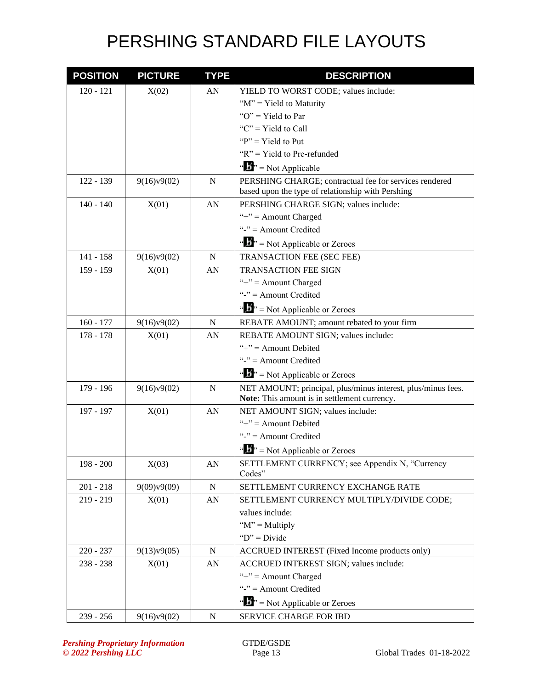| <b>POSITION</b> | <b>PICTURE</b> | <b>TYPE</b> | <b>DESCRIPTION</b>                                                    |
|-----------------|----------------|-------------|-----------------------------------------------------------------------|
| $120 - 121$     | X(02)          | AN          | YIELD TO WORST CODE; values include:                                  |
|                 |                |             | " $M$ " = Yield to Maturity"                                          |
|                 |                |             | " $O$ " = Yield to Par                                                |
|                 |                |             | " $C$ " = Yield to Call"                                              |
|                 |                |             | " $P$ " = Yield to Put                                                |
|                 |                |             | " $R$ " = Yield to Pre-refunded                                       |
|                 |                |             | " $\mathbf{F}$ " = Not Applicable                                     |
| $122 - 139$     | 9(16)v9(02)    | $\mathbf N$ | PERSHING CHARGE; contractual fee for services rendered                |
|                 |                |             | based upon the type of relationship with Pershing                     |
| $140 - 140$     | X(01)          | AN          | PERSHING CHARGE SIGN; values include:                                 |
|                 |                |             | "+" = Amount Charged                                                  |
|                 |                |             | "-" $=$ Amount Credited                                               |
|                 |                |             | " $\mathbf{B}$ " = Not Applicable or Zeroes                           |
| $141 - 158$     | 9(16)y9(02)    | N           | TRANSACTION FEE (SEC FEE)                                             |
| 159 - 159       | X(01)          | AN          | <b>TRANSACTION FEE SIGN</b>                                           |
|                 |                |             | "+" = Amount Charged                                                  |
|                 |                |             | "-" = Amount Credited                                                 |
|                 |                |             | " $\mathbf{F}$ " = Not Applicable or Zeroes                           |
| $160 - 177$     | 9(16)v9(02)    | N           | REBATE AMOUNT; amount rebated to your firm                            |
| $178 - 178$     | X(01)          | AN          | REBATE AMOUNT SIGN; values include:                                   |
|                 |                |             | "+" = Amount Debited                                                  |
|                 |                |             | "-" $=$ Amount Credited                                               |
|                 |                |             | " $\mathbf{F}$ " = Not Applicable or Zeroes                           |
| 179 - 196       | 9(16)v9(02)    | $\mathbf N$ | NET AMOUNT; principal, plus/minus interest, plus/minus fees.          |
|                 |                |             | Note: This amount is in settlement currency.                          |
| 197 - 197       | X(01)          | AN          | NET AMOUNT SIGN; values include:<br>"+" = Amount Debited              |
|                 |                |             | "-" $=$ Amount Credited                                               |
|                 |                |             |                                                                       |
|                 |                |             | " $\mathbf{B}$ " = Not Applicable or Zeroes                           |
| $198 - 200$     | X(03)          | AN          | SETTLEMENT CURRENCY; see Appendix N, "Currency<br>Codes"              |
| $201 - 218$     | 9(09)v9(09)    | ${\bf N}$   | SETTLEMENT CURRENCY EXCHANGE RATE                                     |
| $219 - 219$     | X(01)          | AN          | SETTLEMENT CURRENCY MULTIPLY/DIVIDE CODE;                             |
|                 |                |             | values include:                                                       |
|                 |                |             | " $M$ " = Multiply                                                    |
|                 |                |             | " $D$ " = Divide"                                                     |
| $220 - 237$     | 9(13)v9(05)    | ${\bf N}$   | ACCRUED INTEREST (Fixed Income products only)                         |
| $238 - 238$     | X(01)          | AN          | ACCRUED INTEREST SIGN; values include:                                |
|                 |                |             | "+" = Amount Charged                                                  |
|                 |                |             | "-" $=$ Amount Credited                                               |
|                 |                |             | $\mathbf{a} \cdot \mathbf{b}$ <sup>2</sup> = Not Applicable or Zeroes |
| $239 - 256$     | 9(16)v9(02)    | ${\bf N}$   | SERVICE CHARGE FOR IBD                                                |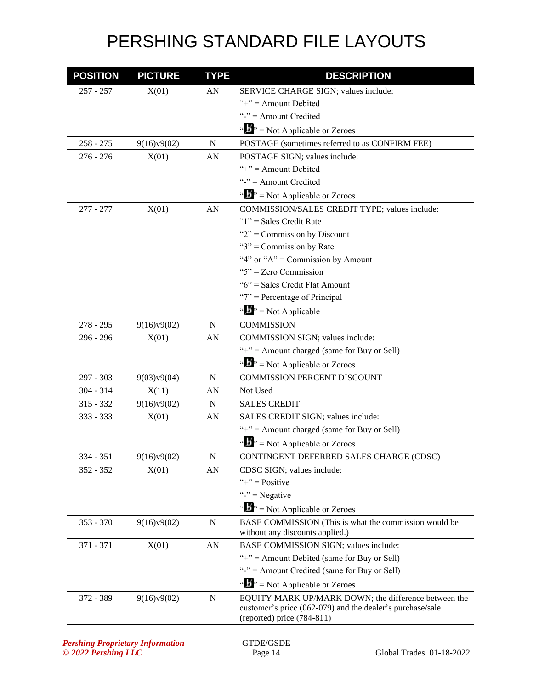| <b>POSITION</b> | <b>PICTURE</b> | <b>TYPE</b> | <b>DESCRIPTION</b>                                                                      |
|-----------------|----------------|-------------|-----------------------------------------------------------------------------------------|
| $257 - 257$     | X(01)          | AN          | SERVICE CHARGE SIGN; values include:                                                    |
|                 |                |             | "+" = Amount Debited                                                                    |
|                 |                |             | "-" $=$ Amount Credited                                                                 |
|                 |                |             | " $\mathbf{F}$ " = Not Applicable or Zeroes                                             |
| $258 - 275$     | 9(16)v9(02)    | ${\bf N}$   | POSTAGE (sometimes referred to as CONFIRM FEE)                                          |
| $276 - 276$     | X(01)          | AN          | POSTAGE SIGN; values include:                                                           |
|                 |                |             | "+" = Amount Debited                                                                    |
|                 |                |             | "-" = Amount Credited                                                                   |
|                 |                |             | " $\mathbf{F}$ " = Not Applicable or Zeroes                                             |
| $277 - 277$     | X(01)          | AN          | COMMISSION/SALES CREDIT TYPE; values include:                                           |
|                 |                |             | " $1$ " = Sales Credit Rate                                                             |
|                 |                |             | " $2$ " = Commission by Discount                                                        |
|                 |                |             | " $3$ " = Commission by Rate                                                            |
|                 |                |             | "4" or " $A$ " = Commission by Amount                                                   |
|                 |                |             | " $5$ " = Zero Commission                                                               |
|                 |                |             | "6" = Sales Credit Flat Amount                                                          |
|                 |                |             | " $7$ " = Percentage of Principal                                                       |
|                 |                |             | " $\frac{1}{2}$ " = Not Applicable                                                      |
| $278 - 295$     | 9(16)v9(02)    | N           | <b>COMMISSION</b>                                                                       |
| $296 - 296$     | X(01)          | AN          | COMMISSION SIGN; values include:                                                        |
|                 |                |             | "+" = Amount charged (same for Buy or Sell)                                             |
|                 |                |             | " $\mathbf{B}$ " = Not Applicable or Zeroes                                             |
| 297 - 303       | 9(03)v9(04)    | N           | <b>COMMISSION PERCENT DISCOUNT</b>                                                      |
| $304 - 314$     | X(11)          | AN          | Not Used                                                                                |
| $315 - 332$     | 9(16)v9(02)    | N           | <b>SALES CREDIT</b>                                                                     |
| 333 - 333       | X(01)          | AN          | SALES CREDIT SIGN; values include:                                                      |
|                 |                |             | "+" = Amount charged (same for Buy or Sell)                                             |
|                 |                |             | " $\mathbf{F}$ " = Not Applicable or Zeroes                                             |
| 334 - 351       | 9(16)v9(02)    | ${\bf N}$   | CONTINGENT DEFERRED SALES CHARGE (CDSC)                                                 |
| $352 - 352$     | X(01)          | AN          | CDSC SIGN; values include:                                                              |
|                 |                |             | "+" = $Positive$                                                                        |
|                 |                |             | "-" $=$ Negative                                                                        |
|                 |                |             | " $\mathbf{F}$ " = Not Applicable or Zeroes                                             |
| $353 - 370$     | 9(16)v9(02)    | N           | BASE COMMISSION (This is what the commission would be                                   |
|                 |                |             | without any discounts applied.)                                                         |
| 371 - 371       | X(01)          | AN          | BASE COMMISSION SIGN; values include:                                                   |
|                 |                |             | "+" = Amount Debited (same for Buy or Sell)                                             |
|                 |                |             | "-" = Amount Credited (same for Buy or Sell)                                            |
|                 |                |             | " $\mathbf{B}$ " = Not Applicable or Zeroes                                             |
| 372 - 389       | 9(16)v9(02)    | ${\bf N}$   | EQUITY MARK UP/MARK DOWN; the difference between the                                    |
|                 |                |             | customer's price (062-079) and the dealer's purchase/sale<br>(reported) price (784-811) |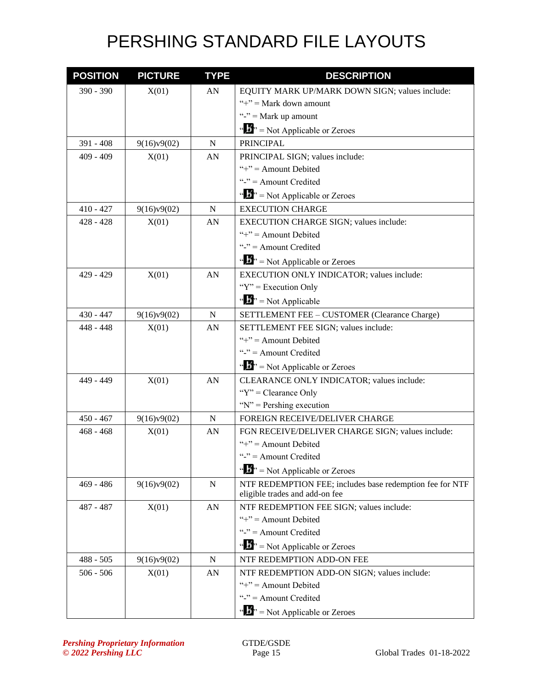| <b>POSITION</b> | <b>PICTURE</b> | <b>TYPE</b> | <b>DESCRIPTION</b>                                                                         |
|-----------------|----------------|-------------|--------------------------------------------------------------------------------------------|
| $390 - 390$     | X(01)          | AN          | EQUITY MARK UP/MARK DOWN SIGN; values include:                                             |
|                 |                |             | "+" = Mark down amount                                                                     |
|                 |                |             | "-" = Mark up amount                                                                       |
|                 |                |             | " $\frac{1}{2}$ " = Not Applicable or Zeroes                                               |
| $391 - 408$     | 9(16)v9(02)    | $\mathbf N$ | <b>PRINCIPAL</b>                                                                           |
| $409 - 409$     | X(01)          | AN          | PRINCIPAL SIGN; values include:                                                            |
|                 |                |             | "+" = Amount Debited                                                                       |
|                 |                |             | "-" $=$ Amount Credited                                                                    |
|                 |                |             | " $\mathbf{B}$ " = Not Applicable or Zeroes                                                |
| $410 - 427$     | 9(16)v9(02)    | N           | <b>EXECUTION CHARGE</b>                                                                    |
| $428 - 428$     | X(01)          | AN          | EXECUTION CHARGE SIGN; values include:                                                     |
|                 |                |             | "+" = Amount Debited                                                                       |
|                 |                |             | "-" $=$ Amount Credited                                                                    |
|                 |                |             | " $\mathbf{F}$ " = Not Applicable or Zeroes                                                |
| $429 - 429$     | X(01)          | AN          | EXECUTION ONLY INDICATOR; values include:                                                  |
|                 |                |             | " $Y$ " = Execution Only                                                                   |
|                 |                |             | " $\mathbf{B}$ " = Not Applicable                                                          |
| $430 - 447$     | 9(16)v9(02)    | N           | SETTLEMENT FEE - CUSTOMER (Clearance Charge)                                               |
| $448 - 448$     | X(01)          | AN          | SETTLEMENT FEE SIGN; values include:                                                       |
|                 |                |             | "+" = Amount Debited                                                                       |
|                 |                |             | "-" = Amount Credited                                                                      |
|                 |                |             | " $\cdots$ " = Not Applicable or Zeroes                                                    |
| 449 - 449       | X(01)          | AN          | CLEARANCE ONLY INDICATOR; values include:                                                  |
|                 |                |             | " $Y$ " = Clearance Only                                                                   |
|                 |                |             | " $N$ " = Pershing execution                                                               |
| $450 - 467$     | 9(16)v9(02)    | N           | FOREIGN RECEIVE/DELIVER CHARGE                                                             |
| $468 - 468$     | X(01)          | AN          | FGN RECEIVE/DELIVER CHARGE SIGN; values include:                                           |
|                 |                |             | "+" = Amount Debited                                                                       |
|                 |                |             | "-" $=$ Amount Credited                                                                    |
|                 |                |             | " $\cdots$ " = Not Applicable or Zeroes                                                    |
| $469 - 486$     | 9(16)v9(02)    | ${\bf N}$   | NTF REDEMPTION FEE; includes base redemption fee for NTF<br>eligible trades and add-on fee |
| 487 - 487       | X(01)          | AN          | NTF REDEMPTION FEE SIGN; values include:                                                   |
|                 |                |             | "+" = Amount Debited                                                                       |
|                 |                |             | "-" $=$ Amount Credited                                                                    |
|                 |                |             | " $\mathbf{b}$ " = Not Applicable or Zeroes                                                |
| $488 - 505$     | 9(16)v9(02)    | N           | NTF REDEMPTION ADD-ON FEE                                                                  |
| $506 - 506$     | X(01)          | AN          | NTF REDEMPTION ADD-ON SIGN; values include:                                                |
|                 |                |             | "+" = Amount Debited                                                                       |
|                 |                |             | "-" $=$ Amount Credited                                                                    |
|                 |                |             | $\cdots$ $\cdots$ Not Applicable or Zeroes                                                 |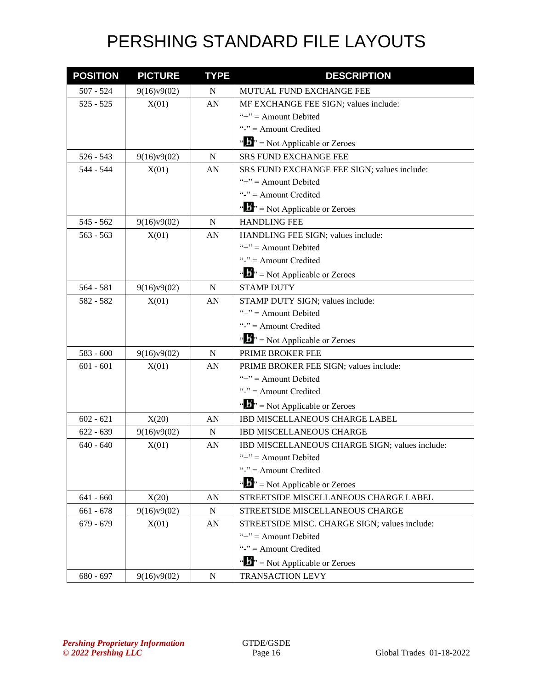| <b>POSITION</b> | <b>PICTURE</b> | <b>TYPE</b> | <b>DESCRIPTION</b>                             |
|-----------------|----------------|-------------|------------------------------------------------|
| $507 - 524$     | 9(16)v9(02)    | $\mathbf N$ | MUTUAL FUND EXCHANGE FEE                       |
| $525 - 525$     | X(01)          | AN          | MF EXCHANGE FEE SIGN; values include:          |
|                 |                |             | "+" = Amount Debited                           |
|                 |                |             | "-" $=$ Amount Credited                        |
|                 |                |             | " $\mathbf{F}$ " = Not Applicable or Zeroes    |
| $526 - 543$     | 9(16)v9(02)    | N           | <b>SRS FUND EXCHANGE FEE</b>                   |
| 544 - 544       | X(01)          | AN          | SRS FUND EXCHANGE FEE SIGN; values include:    |
|                 |                |             | "+" = Amount Debited                           |
|                 |                |             | "-" $=$ Amount Credited                        |
|                 |                |             | " $\mathbf{F}$ " = Not Applicable or Zeroes    |
| $545 - 562$     | 9(16)v9(02)    | $\mathbf N$ | <b>HANDLING FEE</b>                            |
| $563 - 563$     | X(01)          | AN          | HANDLING FEE SIGN; values include:             |
|                 |                |             | "+" = Amount Debited                           |
|                 |                |             | "-" $=$ Amount Credited                        |
|                 |                |             | $\cdots$ $\cdots$ Not Applicable or Zeroes     |
| $564 - 581$     | 9(16)v9(02)    | N           | <b>STAMP DUTY</b>                              |
| 582 - 582       | X(01)          | AN          | STAMP DUTY SIGN; values include:               |
|                 |                |             | "+" = Amount Debited                           |
|                 |                |             | "-" = Amount Credited                          |
|                 |                |             | " $\mathbf{F}$ " = Not Applicable or Zeroes    |
| $583 - 600$     | 9(16)v9(02)    | $\mathbf N$ | PRIME BROKER FEE                               |
| $601 - 601$     | X(01)          | AN          | PRIME BROKER FEE SIGN; values include:         |
|                 |                |             | "+" = Amount Debited                           |
|                 |                |             | "-" $=$ Amount Credited                        |
|                 |                |             | " $\cdots$ " = Not Applicable or Zeroes        |
| $602 - 621$     | X(20)          | AN          | IBD MISCELLANEOUS CHARGE LABEL                 |
| $622 - 639$     | 9(16)v9(02)    | N           | <b>IBD MISCELLANEOUS CHARGE</b>                |
| $640 - 640$     | X(01)          | AN          | IBD MISCELLANEOUS CHARGE SIGN; values include: |
|                 |                |             | " $+$ " = Amount Debited                       |
|                 |                |             | "-" $=$ Amount Credited                        |
|                 |                |             | " $\mathbf{B}$ " = Not Applicable or Zeroes    |
| $641 - 660$     | X(20)          | AN          | STREETSIDE MISCELLANEOUS CHARGE LABEL          |
| $661 - 678$     | 9(16)v9(02)    | ${\bf N}$   | STREETSIDE MISCELLANEOUS CHARGE                |
| $679 - 679$     | X(01)          | AN          | STREETSIDE MISC. CHARGE SIGN; values include:  |
|                 |                |             | "+" = Amount Debited                           |
|                 |                |             | "-" $=$ Amount Credited                        |
|                 |                |             | " $\mathbf{F}$ " = Not Applicable or Zeroes    |
| $680 - 697$     | 9(16)v9(02)    | ${\bf N}$   | <b>TRANSACTION LEVY</b>                        |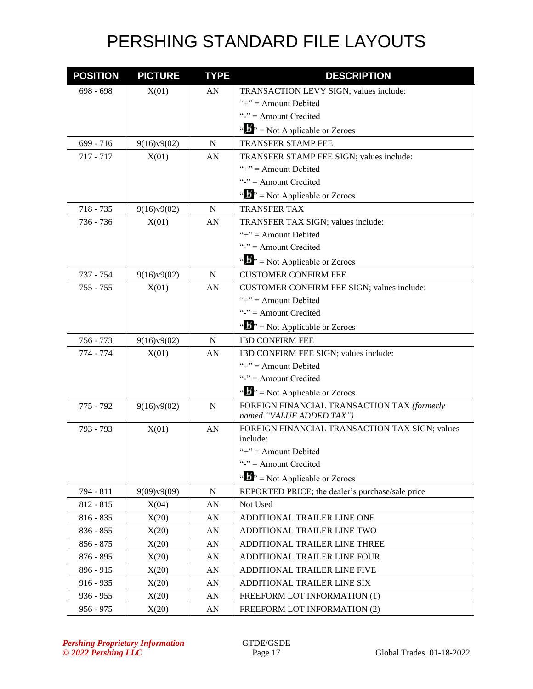| <b>POSITION</b> | <b>PICTURE</b> | <b>TYPE</b> | <b>DESCRIPTION</b>                                                      |
|-----------------|----------------|-------------|-------------------------------------------------------------------------|
| $698 - 698$     | X(01)          | AN          | TRANSACTION LEVY SIGN; values include:                                  |
|                 |                |             | "+" = Amount Debited                                                    |
|                 |                |             | "-" $=$ Amount Credited                                                 |
|                 |                |             | " $\mathbf{A}^{\prime\prime}$ " = Not Applicable or Zeroes              |
| $699 - 716$     | 9(16)v9(02)    | $\mathbf N$ | <b>TRANSFER STAMP FEE</b>                                               |
| $717 - 717$     | X(01)          | AN          | TRANSFER STAMP FEE SIGN; values include:                                |
|                 |                |             | "+" = Amount Debited                                                    |
|                 |                |             | "-" = Amount Credited                                                   |
|                 |                |             | " $\mathbf{F}$ " = Not Applicable or Zeroes                             |
| $718 - 735$     | 9(16)v9(02)    | N           | <b>TRANSFER TAX</b>                                                     |
| 736 - 736       | X(01)          | AN          | TRANSFER TAX SIGN; values include:                                      |
|                 |                |             | "+" = Amount Debited                                                    |
|                 |                |             | "-" $=$ Amount Credited                                                 |
|                 |                |             | " $\mathbf{F}$ " = Not Applicable or Zeroes                             |
| 737 - 754       | 9(16)v9(02)    | N           | <b>CUSTOMER CONFIRM FEE</b>                                             |
| $755 - 755$     | X(01)          | AN          | CUSTOMER CONFIRM FEE SIGN; values include:                              |
|                 |                |             | "+" = Amount Debited                                                    |
|                 |                |             | "-" $=$ Amount Credited                                                 |
|                 |                |             | " $\mathbf{B}$ " = Not Applicable or Zeroes                             |
| 756 - 773       | 9(16)v9(02)    | N           | <b>IBD CONFIRM FEE</b>                                                  |
| 774 - 774       | X(01)          | AN          | IBD CONFIRM FEE SIGN; values include:                                   |
|                 |                |             | "+" = Amount Debited                                                    |
|                 |                |             | "-" $=$ Amount Credited                                                 |
|                 |                |             | " $\mathbf{F}$ " = Not Applicable or Zeroes                             |
| 775 - 792       | 9(16)v9(02)    | N           | FOREIGN FINANCIAL TRANSACTION TAX (formerly<br>named "VALUE ADDED TAX") |
| 793 - 793       | X(01)          | AN          | FOREIGN FINANCIAL TRANSACTION TAX SIGN; values                          |
|                 |                |             | include:                                                                |
|                 |                |             | "+" = Amount Debited                                                    |
|                 |                |             | "-" = Amount Credited                                                   |
|                 |                |             | " $\mathbf{F}$ " = Not Applicable or Zeroes                             |
| 794 - 811       | 9(09)v9(09)    | N           | REPORTED PRICE; the dealer's purchase/sale price                        |
| $812 - 815$     | X(04)          | AN          | Not Used                                                                |
| $816 - 835$     | X(20)          | AN          | ADDITIONAL TRAILER LINE ONE                                             |
| $836 - 855$     | X(20)          | AN          | ADDITIONAL TRAILER LINE TWO                                             |
| $856 - 875$     | X(20)          | AN          | ADDITIONAL TRAILER LINE THREE                                           |
| $876 - 895$     | X(20)          | AN          | ADDITIONAL TRAILER LINE FOUR                                            |
| 896 - 915       | X(20)          | AN          | ADDITIONAL TRAILER LINE FIVE                                            |
| $916 - 935$     | X(20)          | AN          | ADDITIONAL TRAILER LINE SIX                                             |
| $936 - 955$     | X(20)          | AN          | FREEFORM LOT INFORMATION (1)                                            |
| $956 - 975$     | X(20)          | AN          | FREEFORM LOT INFORMATION (2)                                            |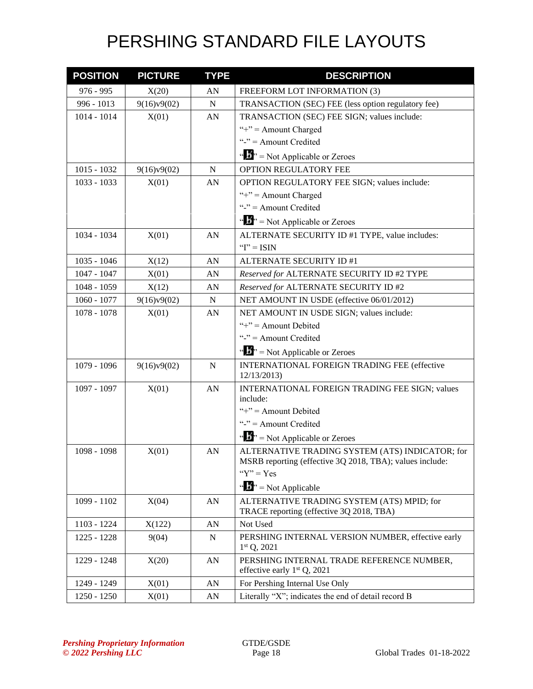| <b>POSITION</b> | <b>PICTURE</b> | <b>TYPE</b>      | <b>DESCRIPTION</b>                                                          |
|-----------------|----------------|------------------|-----------------------------------------------------------------------------|
| $976 - 995$     | X(20)          | AN               | FREEFORM LOT INFORMATION (3)                                                |
| 996 - 1013      | 9(16)v9(02)    | ${\bf N}$        | TRANSACTION (SEC) FEE (less option regulatory fee)                          |
| 1014 - 1014     | X(01)          | AN               | TRANSACTION (SEC) FEE SIGN; values include:                                 |
|                 |                |                  | "+" = Amount Charged                                                        |
|                 |                |                  | "-" $=$ Amount Credited                                                     |
|                 |                |                  | " $\cdots$ " = Not Applicable or Zeroes                                     |
| $1015 - 1032$   | 9(16)v9(02)    | $\mathbf N$      | OPTION REGULATORY FEE                                                       |
| $1033 - 1033$   | X(01)          | AN               | OPTION REGULATORY FEE SIGN; values include:                                 |
|                 |                |                  | "+" = Amount Charged                                                        |
|                 |                |                  | "-" $=$ Amount Credited                                                     |
|                 |                |                  | $\cdots$ , $\cdots$ Not Applicable or Zeroes                                |
| 1034 - 1034     | X(01)          | AN               | ALTERNATE SECURITY ID #1 TYPE, value includes:                              |
|                 |                |                  | " $I$ " = ISIN                                                              |
| $1035 - 1046$   | X(12)          | AN               | ALTERNATE SECURITY ID #1                                                    |
| $1047 - 1047$   | X(01)          | AN               | Reserved for ALTERNATE SECURITY ID #2 TYPE                                  |
| 1048 - 1059     | X(12)          | AN               | Reserved for ALTERNATE SECURITY ID #2                                       |
| $1060 - 1077$   | 9(16)v9(02)    | ${\bf N}$        | NET AMOUNT IN USDE (effective 06/01/2012)                                   |
| $1078 - 1078$   | X(01)          | AN               | NET AMOUNT IN USDE SIGN; values include:                                    |
|                 |                |                  | "+" = Amount Debited                                                        |
|                 |                |                  | "-" $=$ Amount Credited                                                     |
|                 |                |                  | " $\cdots$ " = Not Applicable or Zeroes                                     |
| 1079 - 1096     | 9(16)v9(02)    | ${\bf N}$        | INTERNATIONAL FOREIGN TRADING FEE (effective<br>12/13/2013)                 |
| 1097 - 1097     | X(01)          | ${\bf A}{\bf N}$ | INTERNATIONAL FOREIGN TRADING FEE SIGN; values                              |
|                 |                |                  | include:                                                                    |
|                 |                |                  | "+" = Amount Debited                                                        |
|                 |                |                  | "-" $=$ Amount Credited                                                     |
|                 |                |                  | " $\cdots$ " = Not Applicable or Zeroes                                     |
| 1098 - 1098     | X(01)          | AN               | ALTERNATIVE TRADING SYSTEM (ATS) INDICATOR; for                             |
|                 |                |                  | MSRB reporting (effective 3Q 2018, TBA); values include:                    |
|                 |                |                  | " $Y$ " = Yes                                                               |
|                 |                |                  | $\cdots$ $\cdots$ Not Applicable                                            |
| 1099 - 1102     | X(04)          | AN               | ALTERNATIVE TRADING SYSTEM (ATS) MPID; for                                  |
|                 |                |                  | TRACE reporting (effective 3Q 2018, TBA)                                    |
| 1103 - 1224     | X(122)         | AN               | Not Used                                                                    |
| 1225 - 1228     | 9(04)          | N                | PERSHING INTERNAL VERSION NUMBER, effective early<br>$1st Q$ , 2021         |
| 1229 - 1248     | X(20)          | ${\bf A}{\bf N}$ | PERSHING INTERNAL TRADE REFERENCE NUMBER,<br>effective early $1st Q$ , 2021 |
| 1249 - 1249     | X(01)          | AN               | For Pershing Internal Use Only                                              |
| 1250 - 1250     | X(01)          | AN               | Literally "X"; indicates the end of detail record B                         |